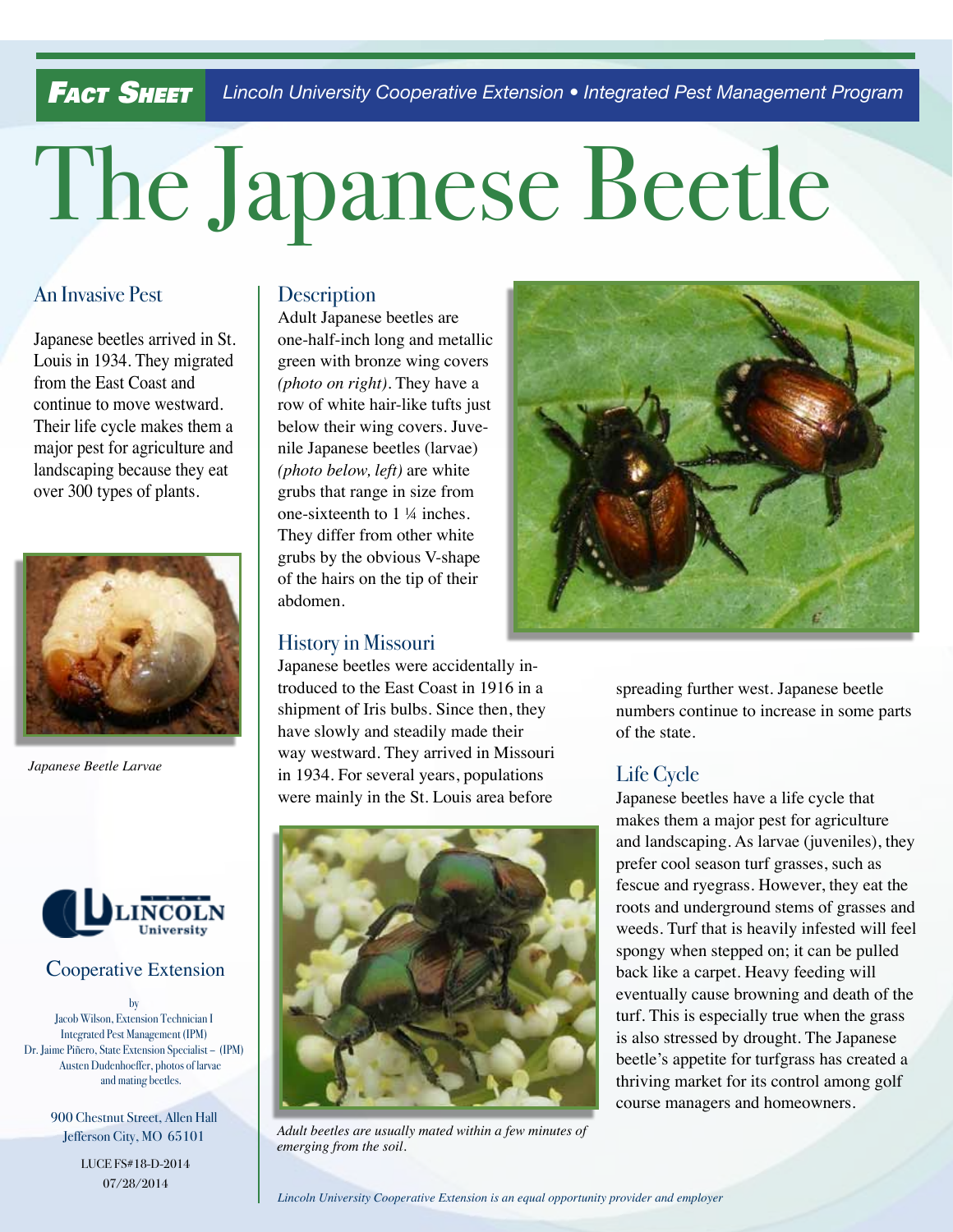*Lincoln University Cooperative Extension • Integrated Pest Management Program Fact Sheet*

# The Japanese Beetle

# An Invasive Pest

Japanese beetles arrived in St. Louis in 1934. They migrated from the East Coast and continue to move westward. Their life cycle makes them a major pest for agriculture and landscaping because they eat over 300 types of plants.



*Japanese Beetle Larvae*



# Cooperative Extension

by Jacob Wilson, Extension Technician I Integrated Pest Management (IPM) Dr. Jaime Piñero, State Extension Specialist – (IPM) Austen Dudenhoeffer, photos of larvae and mating beetles.

> 900 Chestnut Street, Allen Hall Jefferson City, MO 65101

> > LUCE FS#18-D-2014 07/28/2014

# **Description**

Adult Japanese beetles are one-half-inch long and metallic green with bronze wing covers *(photo on right).* They have a row of white hair-like tufts just below their wing covers. Juvenile Japanese beetles (larvae) *(photo below, left)* are white grubs that range in size from one-sixteenth to 1 ¼ inches. They differ from other white grubs by the obvious V-shape of the hairs on the tip of their abdomen.

# History in Missouri

Japanese beetles were accidentally introduced to the East Coast in 1916 in a shipment of Iris bulbs. Since then, they have slowly and steadily made their way westward. They arrived in Missouri in 1934. For several years, populations were mainly in the St. Louis area before



*Adult beetles are usually mated within a few minutes of emerging from the soil*.



spreading further west. Japanese beetle numbers continue to increase in some parts of the state.

# Life Cycle

Japanese beetles have a life cycle that makes them a major pest for agriculture and landscaping. As larvae (juveniles), they prefer cool season turf grasses, such as fescue and ryegrass. However, they eat the roots and underground stems of grasses and weeds. Turf that is heavily infested will feel spongy when stepped on; it can be pulled back like a carpet. Heavy feeding will eventually cause browning and death of the turf. This is especially true when the grass is also stressed by drought. The Japanese beetle's appetite for turfgrass has created a thriving market for its control among golf course managers and homeowners.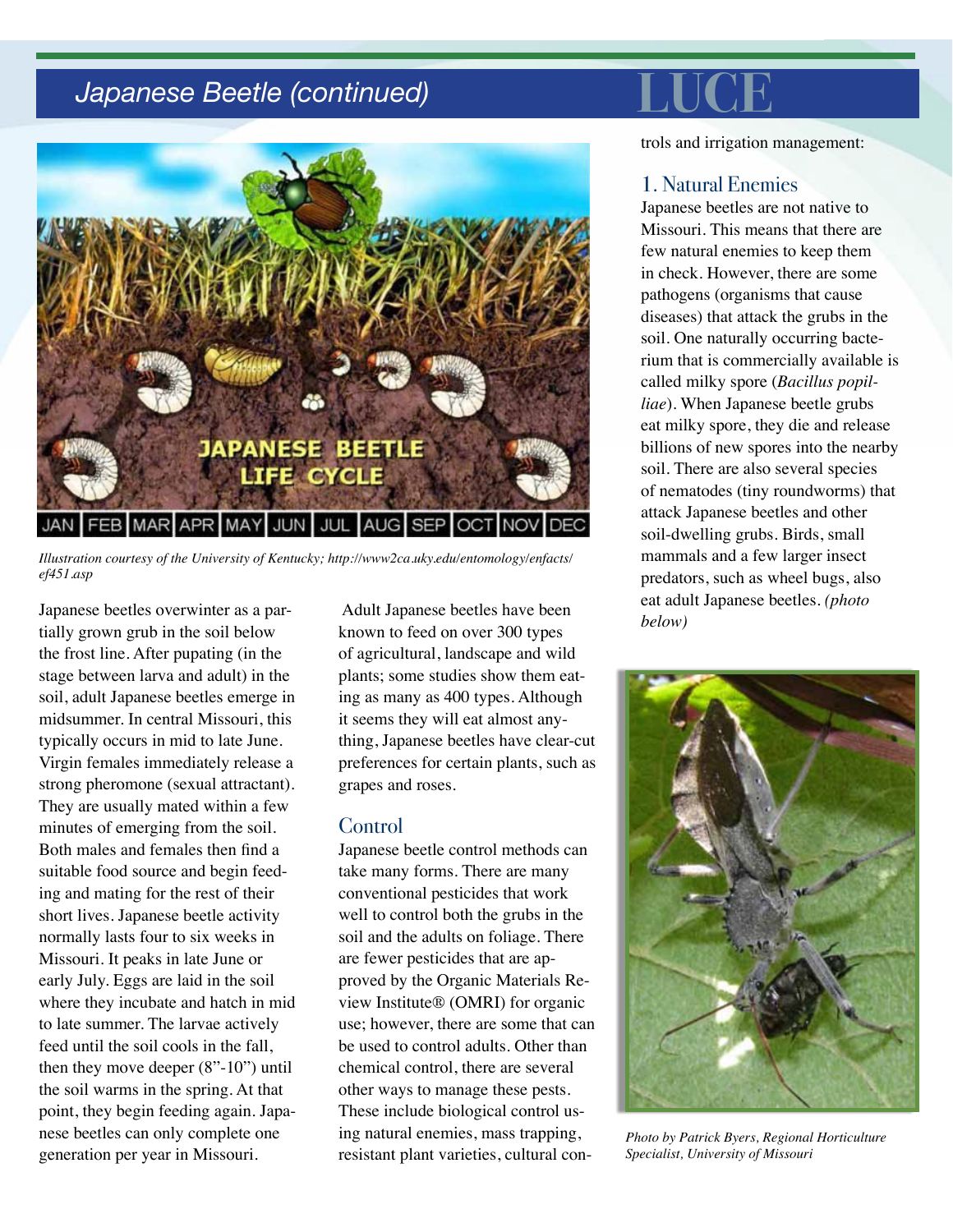# **Japanese Beetle (continued)**



*Illustration courtesy of the University of Kentucky; http://www2ca.uky.edu/entomology/enfacts/ ef451.asp*

Japanese beetles overwinter as a partially grown grub in the soil below the frost line. After pupating (in the stage between larva and adult) in the soil, adult Japanese beetles emerge in midsummer. In central Missouri, this typically occurs in mid to late June. Virgin females immediately release a strong pheromone (sexual attractant). They are usually mated within a few minutes of emerging from the soil. Both males and females then find a suitable food source and begin feeding and mating for the rest of their short lives. Japanese beetle activity normally lasts four to six weeks in Missouri. It peaks in late June or early July. Eggs are laid in the soil where they incubate and hatch in mid to late summer. The larvae actively feed until the soil cools in the fall, then they move deeper (8"-10") until the soil warms in the spring. At that point, they begin feeding again. Japanese beetles can only complete one generation per year in Missouri.

 Adult Japanese beetles have been known to feed on over 300 types of agricultural, landscape and wild plants; some studies show them eating as many as 400 types. Although it seems they will eat almost anything, Japanese beetles have clear-cut preferences for certain plants, such as grapes and roses.

### Control

Japanese beetle control methods can take many forms. There are many conventional pesticides that work well to control both the grubs in the soil and the adults on foliage. There are fewer pesticides that are approved by the Organic Materials Review Institute® (OMRI) for organic use; however, there are some that can be used to control adults. Other than chemical control, there are several other ways to manage these pests. These include biological control using natural enemies, mass trapping, resistant plant varieties, cultural controls and irrigation management:

### 1. Natural Enemies

Japanese beetles are not native to Missouri. This means that there are few natural enemies to keep them in check. However, there are some pathogens (organisms that cause diseases) that attack the grubs in the soil. One naturally occurring bacterium that is commercially available is called milky spore (*Bacillus popilliae*). When Japanese beetle grubs eat milky spore, they die and release billions of new spores into the nearby soil. There are also several species of nematodes (tiny roundworms) that attack Japanese beetles and other soil-dwelling grubs. Birds, small mammals and a few larger insect predators, such as wheel bugs, also eat adult Japanese beetles. *(photo below)*



*Photo by Patrick Byers, Regional Horticulture Specialist, University of Missouri*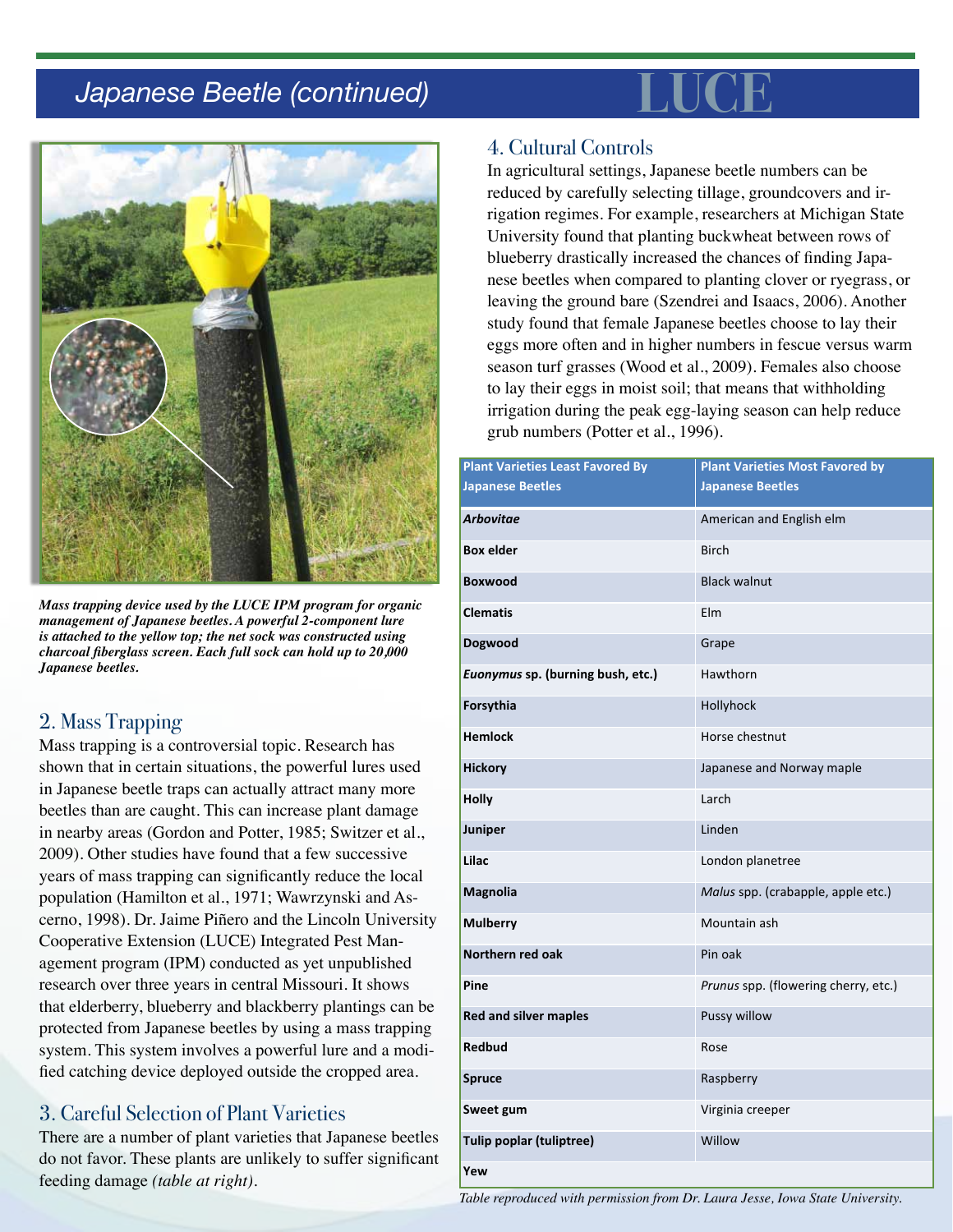# **Japanese Beetle (continued)**



*Mass trapping device used by the LUCE IPM program for organic management of Japanese beetles. A powerful 2-component lure is attached to the yellow top; the net sock was constructed using charcoal fiberglass screen. Each full sock can hold up to 20,000 Japanese beetles.*

# 2. Mass Trapping

Mass trapping is a controversial topic. Research has shown that in certain situations, the powerful lures used in Japanese beetle traps can actually attract many more beetles than are caught. This can increase plant damage in nearby areas (Gordon and Potter, 1985; Switzer et al., 2009). Other studies have found that a few successive years of mass trapping can significantly reduce the local population (Hamilton et al., 1971; Wawrzynski and Ascerno, 1998). Dr. Jaime Piñero and the Lincoln University Cooperative Extension (LUCE) Integrated Pest Management program (IPM) conducted as yet unpublished research over three years in central Missouri. It shows that elderberry, blueberry and blackberry plantings can be protected from Japanese beetles by using a mass trapping system. This system involves a powerful lure and a modified catching device deployed outside the cropped area.

# 3. Careful Selection of Plant Varieties

There are a number of plant varieties that Japanese beetles do not favor. These plants are unlikely to suffer significant feeding damage *(table at right)*.

# 4. Cultural Controls

In agricultural settings, Japanese beetle numbers can be reduced by carefully selecting tillage, groundcovers and irrigation regimes. For example, researchers at Michigan State University found that planting buckwheat between rows of blueberry drastically increased the chances of finding Japanese beetles when compared to planting clover or ryegrass, or leaving the ground bare (Szendrei and Isaacs, 2006). Another study found that female Japanese beetles choose to lay their eggs more often and in higher numbers in fescue versus warm season turf grasses (Wood et al., 2009). Females also choose to lay their eggs in moist soil; that means that withholding irrigation during the peak egg-laying season can help reduce grub numbers (Potter et al., 1996).

| <b>Plant Varieties Least Favored By</b> | <b>Plant Varieties Most Favored by</b> |
|-----------------------------------------|----------------------------------------|
| <b>Japanese Beetles</b>                 | <b>Japanese Beetles</b>                |
| <b>Arbovitae</b>                        | American and English elm               |
| <b>Box elder</b>                        | <b>Birch</b>                           |
| <b>Boxwood</b>                          | <b>Black walnut</b>                    |
| <b>Clematis</b>                         | Elm                                    |
| Dogwood                                 | Grape                                  |
| Euonymus sp. (burning bush, etc.)       | Hawthorn                               |
| Forsythia                               | Hollyhock                              |
| <b>Hemlock</b>                          | Horse chestnut                         |
| <b>Hickory</b>                          | Japanese and Norway maple              |
| <b>Holly</b>                            | Larch                                  |
| Juniper                                 | Linden                                 |
| Lilac                                   | London planetree                       |
| Magnolia                                | Malus spp. (crabapple, apple etc.)     |
| <b>Mulberry</b>                         | Mountain ash                           |
| Northern red oak                        | Pin oak                                |
| Pine                                    | Prunus spp. (flowering cherry, etc.)   |
| <b>Red and silver maples</b>            | Pussy willow                           |
| Redbud                                  | Rose                                   |
| <b>Spruce</b>                           | Raspberry                              |
| Sweet gum                               | Virginia creeper                       |
| Tulip poplar (tuliptree)                | Willow                                 |
| Yew                                     |                                        |

*Table reproduced with permission from Dr. Laura Jesse, Iowa State University.*